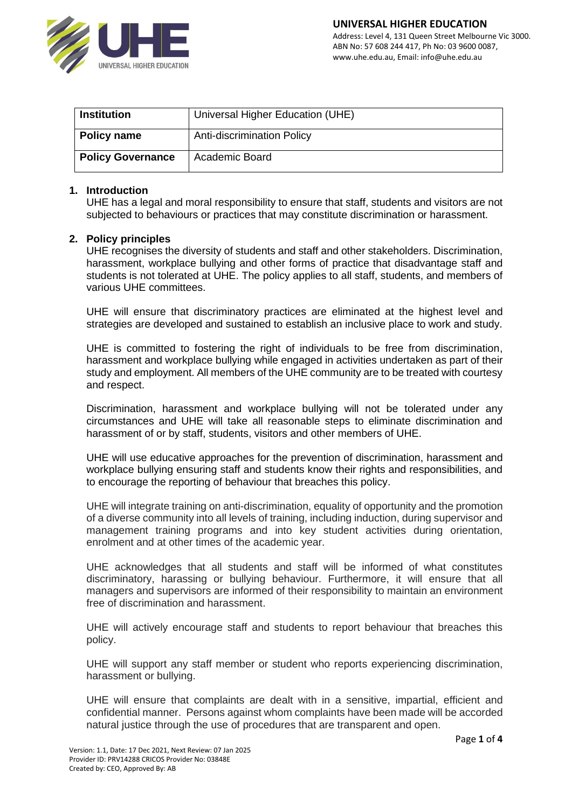

| <b>Institution</b>       | Universal Higher Education (UHE)  |
|--------------------------|-----------------------------------|
| Policy name              | <b>Anti-discrimination Policy</b> |
| <b>Policy Governance</b> | Academic Board                    |

### **1. Introduction**

UHE has a legal and moral responsibility to ensure that staff, students and visitors are not subjected to behaviours or practices that may constitute discrimination or harassment.

### **2. Policy principles**

UHE recognises the diversity of students and staff and other stakeholders. Discrimination, harassment, workplace bullying and other forms of practice that disadvantage staff and students is not tolerated at UHE. The policy applies to all staff, students, and members of various UHE committees.

UHE will ensure that discriminatory practices are eliminated at the highest level and strategies are developed and sustained to establish an inclusive place to work and study.

UHE is committed to fostering the right of individuals to be free from discrimination, harassment and workplace bullying while engaged in activities undertaken as part of their study and employment. All members of the UHE community are to be treated with courtesy and respect.

Discrimination, harassment and workplace bullying will not be tolerated under any circumstances and UHE will take all reasonable steps to eliminate discrimination and harassment of or by staff, students, visitors and other members of UHE.

UHE will use educative approaches for the prevention of discrimination, harassment and workplace bullying ensuring staff and students know their rights and responsibilities, and to encourage the reporting of behaviour that breaches this policy.

UHE will integrate training on anti-discrimination, equality of opportunity and the promotion of a diverse community into all levels of training, including induction, during supervisor and management training programs and into key student activities during orientation, enrolment and at other times of the academic year.

UHE acknowledges that all students and staff will be informed of what constitutes discriminatory, harassing or bullying behaviour. Furthermore, it will ensure that all managers and supervisors are informed of their responsibility to maintain an environment free of discrimination and harassment.

UHE will actively encourage staff and students to report behaviour that breaches this policy.

UHE will support any staff member or student who reports experiencing discrimination, harassment or bullying.

UHE will ensure that complaints are dealt with in a sensitive, impartial, efficient and confidential manner. Persons against whom complaints have been made will be accorded natural justice through the use of procedures that are transparent and open.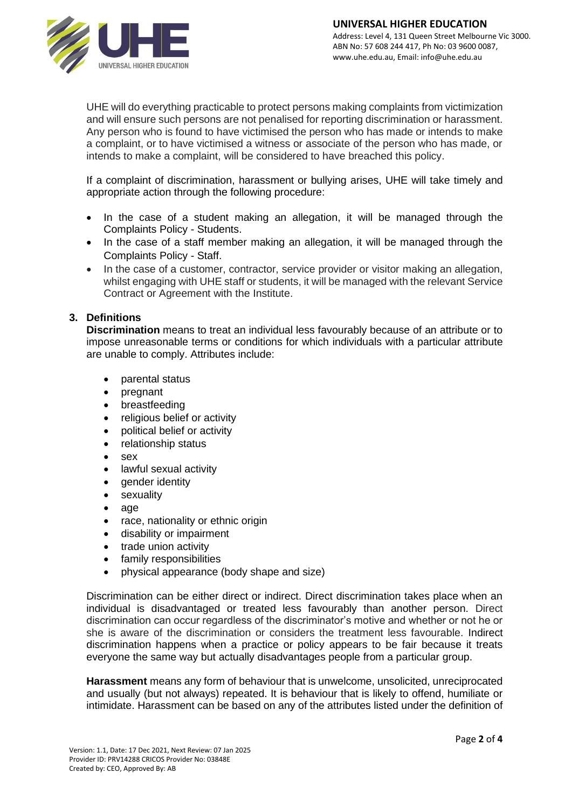

UHE will do everything practicable to protect persons making complaints from victimization and will ensure such persons are not penalised for reporting discrimination or harassment. Any person who is found to have victimised the person who has made or intends to make a complaint, or to have victimised a witness or associate of the person who has made, or intends to make a complaint, will be considered to have breached this policy.

If a complaint of discrimination, harassment or bullying arises, UHE will take timely and appropriate action through the following procedure:

- In the case of a student making an allegation, it will be managed through the Complaints Policy - Students.
- In the case of a staff member making an allegation, it will be managed through the Complaints Policy - Staff.
- In the case of a customer, contractor, service provider or visitor making an allegation, whilst engaging with UHE staff or students, it will be managed with the relevant Service Contract or Agreement with the Institute.

# **3. Definitions**

**Discrimination** means to treat an individual less favourably because of an attribute or to impose unreasonable terms or conditions for which individuals with a particular attribute are unable to comply. Attributes include:

- parental status
- pregnant
- breastfeeding
- religious belief or activity
- political belief or activity
- relationship status
- $\bullet$  sex
- lawful sexual activity
- gender identity
- **sexuality**
- age
- race, nationality or ethnic origin
- disability or impairment
- trade union activity
- family responsibilities
- physical appearance (body shape and size)

Discrimination can be either direct or indirect. Direct discrimination takes place when an individual is disadvantaged or treated less favourably than another person. Direct discrimination can occur regardless of the discriminator's motive and whether or not he or she is aware of the discrimination or considers the treatment less favourable. Indirect discrimination happens when a practice or policy appears to be fair because it treats everyone the same way but actually disadvantages people from a particular group.

**Harassment** means any form of behaviour that is unwelcome, unsolicited, unreciprocated and usually (but not always) repeated. It is behaviour that is likely to offend, humiliate or intimidate. Harassment can be based on any of the attributes listed under the definition of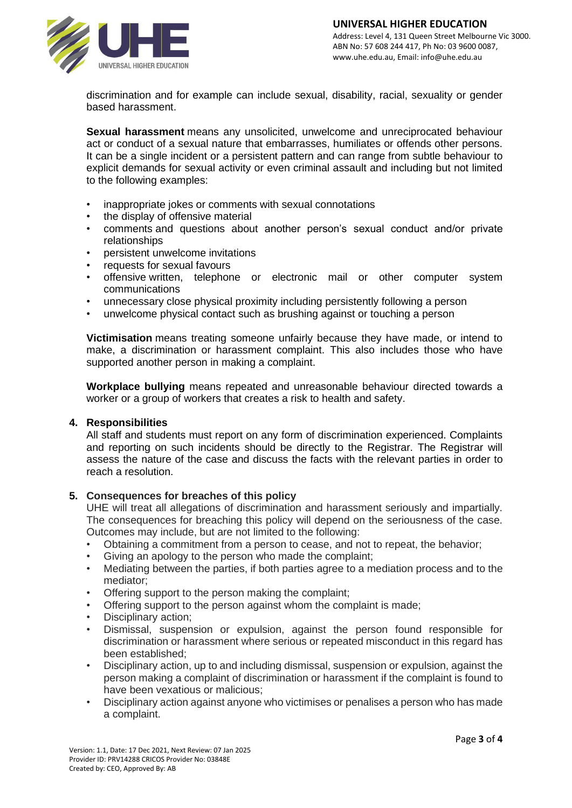

discrimination and for example can include sexual, disability, racial, sexuality or gender based harassment.

**Sexual harassment** means any unsolicited, unwelcome and unreciprocated behaviour act or conduct of a sexual nature that embarrasses, humiliates or offends other persons. It can be a single incident or a persistent pattern and can range from subtle behaviour to explicit demands for sexual activity or even criminal assault and including but not limited to the following examples:

- inappropriate jokes or comments with sexual connotations
- the display of offensive material
- comments and questions about another person's sexual conduct and/or private relationships
- persistent unwelcome invitations
- requests for sexual favours
- offensive written, telephone or electronic mail or other computer system communications
- unnecessary close physical proximity including persistently following a person
- unwelcome physical contact such as brushing against or touching a person

**Victimisation** means treating someone unfairly because they have made, or intend to make, a discrimination or harassment complaint. This also includes those who have supported another person in making a complaint.

**Workplace bullying** means repeated and unreasonable behaviour directed towards a worker or a group of workers that creates a risk to health and safety.

#### **4. Responsibilities**

All staff and students must report on any form of discrimination experienced. Complaints and reporting on such incidents should be directly to the Registrar. The Registrar will assess the nature of the case and discuss the facts with the relevant parties in order to reach a resolution.

## **5. Consequences for breaches of this policy**

UHE will treat all allegations of discrimination and harassment seriously and impartially. The consequences for breaching this policy will depend on the seriousness of the case. Outcomes may include, but are not limited to the following:

- Obtaining a commitment from a person to cease, and not to repeat, the behavior;
- Giving an apology to the person who made the complaint;
- Mediating between the parties, if both parties agree to a mediation process and to the mediator;
- Offering support to the person making the complaint;
- Offering support to the person against whom the complaint is made;
- Disciplinary action:
- Dismissal, suspension or expulsion, against the person found responsible for discrimination or harassment where serious or repeated misconduct in this regard has been established;
- Disciplinary action, up to and including dismissal, suspension or expulsion, against the person making a complaint of discrimination or harassment if the complaint is found to have been vexatious or malicious;
- Disciplinary action against anyone who victimises or penalises a person who has made a complaint.